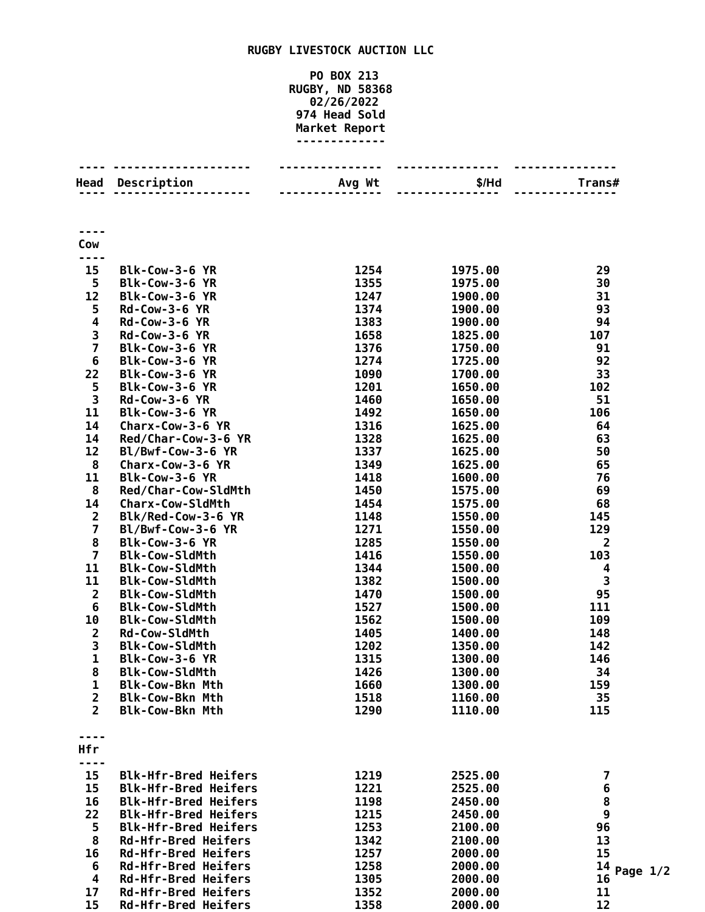## **RUGBY LIVESTOCK AUCTION LLC**

## **PO BOX 213 RUGBY, ND 58368 02/26/2022 Head Sold Market Report -------------**

|                              | <b>Head Description</b>                                    | Avg Wt       | \$/Hd              | Trans#                                |
|------------------------------|------------------------------------------------------------|--------------|--------------------|---------------------------------------|
|                              |                                                            |              |                    |                                       |
| Cow                          |                                                            |              |                    |                                       |
|                              |                                                            |              |                    |                                       |
| 15                           | Blk-Cow-3-6 YR                                             | 1254         | 1975.00            | 29                                    |
| 5                            | Blk-Cow-3-6 YR                                             | 1355<br>1247 | 1975.00            | 30                                    |
| 12<br>5                      | Blk-Cow-3-6 YR<br>$Rd$ -Cow-3-6 YR                         | 1374         | 1900.00<br>1900.00 | 31<br>93                              |
| 4                            | <b>Rd-Cow-3-6 YR</b>                                       | 1383         | 1900.00            | 94                                    |
| 3                            | <b>Rd-Cow-3-6 YR</b>                                       | 1658         | 1825.00            | 107                                   |
| $\overline{\mathbf{z}}$      | Blk-Cow-3-6 YR                                             | 1376         | 1750.00            | 91                                    |
| 6                            | Blk-Cow-3-6 YR                                             | 1274         | 1725.00            | 92                                    |
| 22                           | Blk-Cow-3-6 YR                                             | 1090         | 1700.00            | 33                                    |
| 5                            | Blk-Cow-3-6 YR                                             | 1201         | 1650.00            | 102                                   |
| 3                            | <b>Rd-Cow-3-6 YR</b>                                       | 1460         | 1650.00            | 51                                    |
| 11                           | Blk-Cow-3-6 YR                                             | 1492         | 1650.00            | 106                                   |
| 14                           | Charx-Cow-3-6 YR                                           | 1316         | 1625.00            | 64                                    |
| 14<br>12                     | Red/Char-Cow-3-6 YR<br>Bl/Bwf-Cow-3-6 YR                   | 1328<br>1337 | 1625.00<br>1625.00 | 63<br>50                              |
| 8                            | Charx-Cow-3-6 YR                                           | 1349         | 1625.00            | 65                                    |
| 11                           | Blk-Cow-3-6 YR                                             | 1418         | 1600.00            | 76                                    |
| 8                            | Red/Char-Cow-SldMth                                        | 1450         | 1575.00            | 69                                    |
| 14                           | <b>Charx-Cow-SldMth</b>                                    | 1454         | 1575.00            | 68                                    |
| $\overline{2}$               | Blk/Red-Cow-3-6 YR                                         | 1148         | 1550.00            | 145                                   |
| $\overline{\mathbf{z}}$      | Bl/Bwf-Cow-3-6 YR                                          | 1271         | 1550.00            | 129                                   |
| 8                            | Blk-Cow-3-6 YR                                             | 1285         | 1550.00            | $\overline{2}$                        |
| $\overline{\mathbf{z}}$      | <b>Blk-Cow-SldMth</b>                                      | 1416         | 1550.00            | 103                                   |
| 11                           | <b>Blk-Cow-SldMth</b>                                      | 1344         | 1500.00            | 4                                     |
| 11                           | <b>Blk-Cow-SldMth</b>                                      | 1382         | 1500.00            | 3                                     |
| $\overline{\mathbf{2}}$<br>6 | <b>Blk-Cow-SldMth</b><br><b>Blk-Cow-SldMth</b>             | 1470<br>1527 | 1500.00<br>1500.00 | 95<br>111                             |
| 10                           | <b>Blk-Cow-SldMth</b>                                      | 1562         | 1500.00            | 109                                   |
| $\overline{\mathbf{c}}$      | <b>Rd-Cow-SldMth</b>                                       | 1405         | 1400.00            | 148                                   |
| 3                            | <b>Blk-Cow-SldMth</b>                                      | 1202         | 1350.00            | 142                                   |
| $\mathbf{1}$                 | Blk-Cow-3-6 YR                                             | 1315         | 1300.00            | 146                                   |
| 8                            | <b>Blk-Cow-SldMth</b>                                      | 1426         | 1300.00            | 34                                    |
| 1                            | <b>Blk-Cow-Bkn Mth</b>                                     | 1660         | 1300.00            | 159                                   |
| $\overline{\mathbf{2}}$      | <b>Blk-Cow-Bkn Mth</b>                                     | 1518         | 1160.00            | 35                                    |
| $\overline{2}$               | <b>Blk-Cow-Bkn Mth</b>                                     | 1290         | 1110.00            | 115                                   |
| Hfr                          |                                                            |              |                    |                                       |
|                              |                                                            |              |                    |                                       |
| 15                           | <b>Blk-Hfr-Bred Heifers</b>                                | 1219         | 2525.00            | $\overline{\mathbf{z}}$               |
| 15                           | <b>Blk-Hfr-Bred Heifers</b>                                | 1221         | 2525.00            | $\boldsymbol{6}$                      |
| 16<br>22                     | <b>Blk-Hfr-Bred Heifers</b><br><b>Blk-Hfr-Bred Heifers</b> | 1198<br>1215 | 2450.00<br>2450.00 | $\begin{array}{c} 8 \\ 9 \end{array}$ |
| 5                            | <b>Blk-Hfr-Bred Heifers</b>                                | 1253         | 2100.00            | 96                                    |
| 8                            | <b>Rd-Hfr-Bred Heifers</b>                                 | 1342         | 2100.00            | 13                                    |
| 16                           | <b>Rd-Hfr-Bred Heifers</b>                                 | 1257         | 2000.00            | 15                                    |
| 6                            | <b>Rd-Hfr-Bred Heifers</b>                                 | 1258         | 2000.00            | 14<br>Page                            |
| 4                            | <b>Rd-Hfr-Bred Heifers</b>                                 | 1305         | 2000.00            | 16                                    |
| 17                           | Rd-Hfr-Bred Heifers                                        | 1352         | 2000.00            | 11                                    |
| 15                           | Rd-Hfr-Bred Heifers                                        | 1358         | 2000.00            | 12                                    |

**Page 1/2**